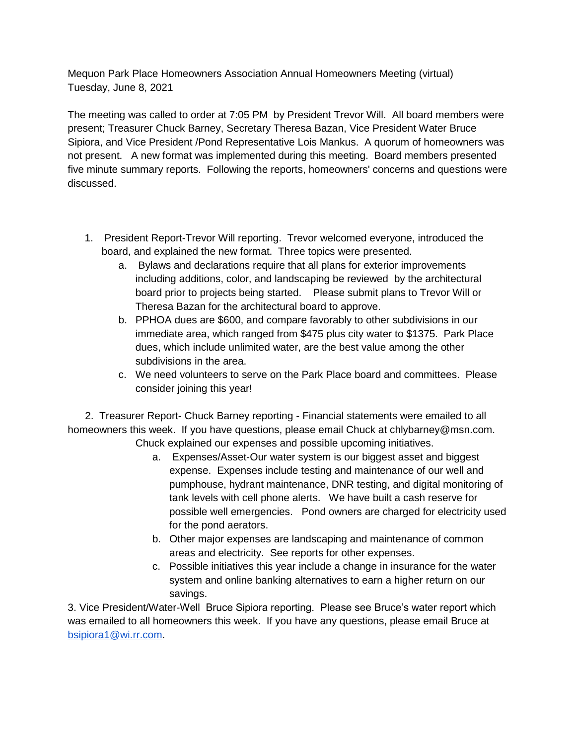Mequon Park Place Homeowners Association Annual Homeowners Meeting (virtual) Tuesday, June 8, 2021

The meeting was called to order at 7:05 PM by President Trevor Will. All board members were present; Treasurer Chuck Barney, Secretary Theresa Bazan, Vice President Water Bruce Sipiora, and Vice President /Pond Representative Lois Mankus. A quorum of homeowners was not present. A new format was implemented during this meeting. Board members presented five minute summary reports. Following the reports, homeowners' concerns and questions were discussed.

- 1. President Report-Trevor Will reporting. Trevor welcomed everyone, introduced the board, and explained the new format. Three topics were presented.
	- a. Bylaws and declarations require that all plans for exterior improvements including additions, color, and landscaping be reviewed by the architectural board prior to projects being started. Please submit plans to Trevor Will or Theresa Bazan for the architectural board to approve.
	- b. PPHOA dues are \$600, and compare favorably to other subdivisions in our immediate area, which ranged from \$475 plus city water to \$1375. Park Place dues, which include unlimited water, are the best value among the other subdivisions in the area.
	- c. We need volunteers to serve on the Park Place board and committees. Please consider joining this year!

 2. Treasurer Report- Chuck Barney reporting - Financial statements were emailed to all homeowners this week. If you have questions, please email Chuck at chlybarney@msn.com. Chuck explained our expenses and possible upcoming initiatives.

- a. Expenses/Asset-Our water system is our biggest asset and biggest expense. Expenses include testing and maintenance of our well and pumphouse, hydrant maintenance, DNR testing, and digital monitoring of tank levels with cell phone alerts. We have built a cash reserve for possible well emergencies. Pond owners are charged for electricity used for the pond aerators.
- b. Other major expenses are landscaping and maintenance of common areas and electricity. See reports for other expenses.
- c. Possible initiatives this year include a change in insurance for the water system and online banking alternatives to earn a higher return on our savings.

3. Vice President/Water-Well Bruce Sipiora reporting. Please see Bruce's water report which was emailed to all homeowners this week. If you have any questions, please email Bruce at [bsipiora1@wi.rr.com.](mailto:bsipiora1@wi.rr.com)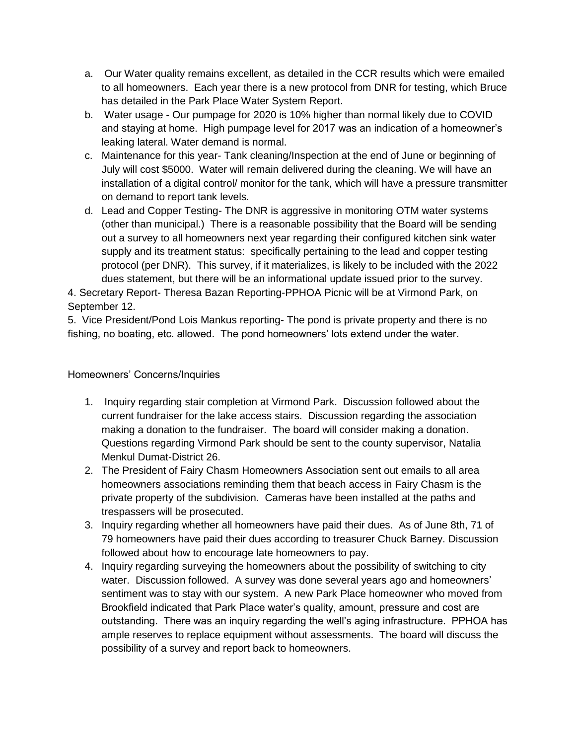- a. Our Water quality remains excellent, as detailed in the CCR results which were emailed to all homeowners. Each year there is a new protocol from DNR for testing, which Bruce has detailed in the Park Place Water System Report.
- b. Water usage Our pumpage for 2020 is 10% higher than normal likely due to COVID and staying at home. High pumpage level for 2017 was an indication of a homeowner's leaking lateral. Water demand is normal.
- c. Maintenance for this year- Tank cleaning/Inspection at the end of June or beginning of July will cost \$5000. Water will remain delivered during the cleaning. We will have an installation of a digital control/ monitor for the tank, which will have a pressure transmitter on demand to report tank levels.
- d. Lead and Copper Testing- The DNR is aggressive in monitoring OTM water systems (other than municipal.) There is a reasonable possibility that the Board will be sending out a survey to all homeowners next year regarding their configured kitchen sink water supply and its treatment status: specifically pertaining to the lead and copper testing protocol (per DNR). This survey, if it materializes, is likely to be included with the 2022 dues statement, but there will be an informational update issued prior to the survey.

4. Secretary Report- Theresa Bazan Reporting-PPHOA Picnic will be at Virmond Park, on September 12.

5. Vice President/Pond Lois Mankus reporting- The pond is private property and there is no fishing, no boating, etc. allowed. The pond homeowners' lots extend under the water.

Homeowners' Concerns/Inquiries

- 1. Inquiry regarding stair completion at Virmond Park. Discussion followed about the current fundraiser for the lake access stairs. Discussion regarding the association making a donation to the fundraiser. The board will consider making a donation. Questions regarding Virmond Park should be sent to the county supervisor, Natalia Menkul Dumat-District 26.
- 2. The President of Fairy Chasm Homeowners Association sent out emails to all area homeowners associations reminding them that beach access in Fairy Chasm is the private property of the subdivision. Cameras have been installed at the paths and trespassers will be prosecuted.
- 3. Inquiry regarding whether all homeowners have paid their dues. As of June 8th, 71 of 79 homeowners have paid their dues according to treasurer Chuck Barney. Discussion followed about how to encourage late homeowners to pay.
- 4. Inquiry regarding surveying the homeowners about the possibility of switching to city water. Discussion followed. A survey was done several years ago and homeowners' sentiment was to stay with our system. A new Park Place homeowner who moved from Brookfield indicated that Park Place water's quality, amount, pressure and cost are outstanding. There was an inquiry regarding the well's aging infrastructure. PPHOA has ample reserves to replace equipment without assessments. The board will discuss the possibility of a survey and report back to homeowners.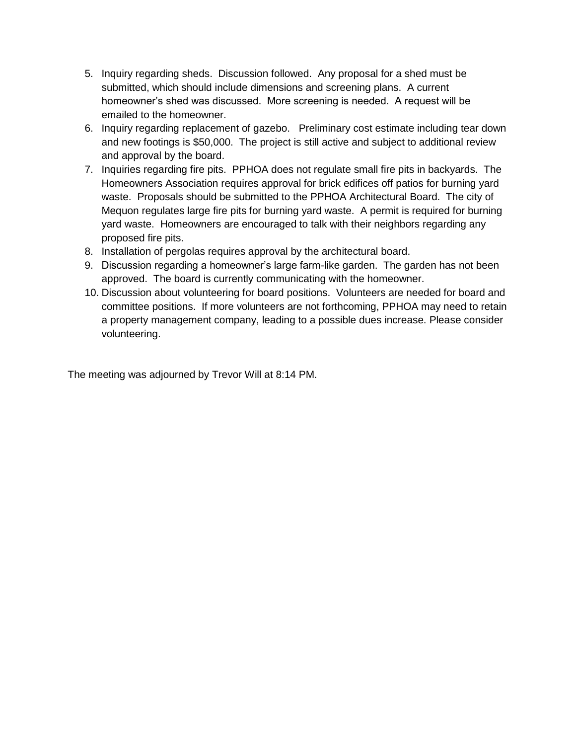- 5. Inquiry regarding sheds. Discussion followed. Any proposal for a shed must be submitted, which should include dimensions and screening plans. A current homeowner's shed was discussed. More screening is needed. A request will be emailed to the homeowner.
- 6. Inquiry regarding replacement of gazebo. Preliminary cost estimate including tear down and new footings is \$50,000. The project is still active and subject to additional review and approval by the board.
- 7. Inquiries regarding fire pits. PPHOA does not regulate small fire pits in backyards. The Homeowners Association requires approval for brick edifices off patios for burning yard waste. Proposals should be submitted to the PPHOA Architectural Board. The city of Mequon regulates large fire pits for burning yard waste. A permit is required for burning yard waste. Homeowners are encouraged to talk with their neighbors regarding any proposed fire pits.
- 8. Installation of pergolas requires approval by the architectural board.
- 9. Discussion regarding a homeowner's large farm-like garden. The garden has not been approved. The board is currently communicating with the homeowner.
- 10. Discussion about volunteering for board positions. Volunteers are needed for board and committee positions. If more volunteers are not forthcoming, PPHOA may need to retain a property management company, leading to a possible dues increase. Please consider volunteering.

The meeting was adjourned by Trevor Will at 8:14 PM.